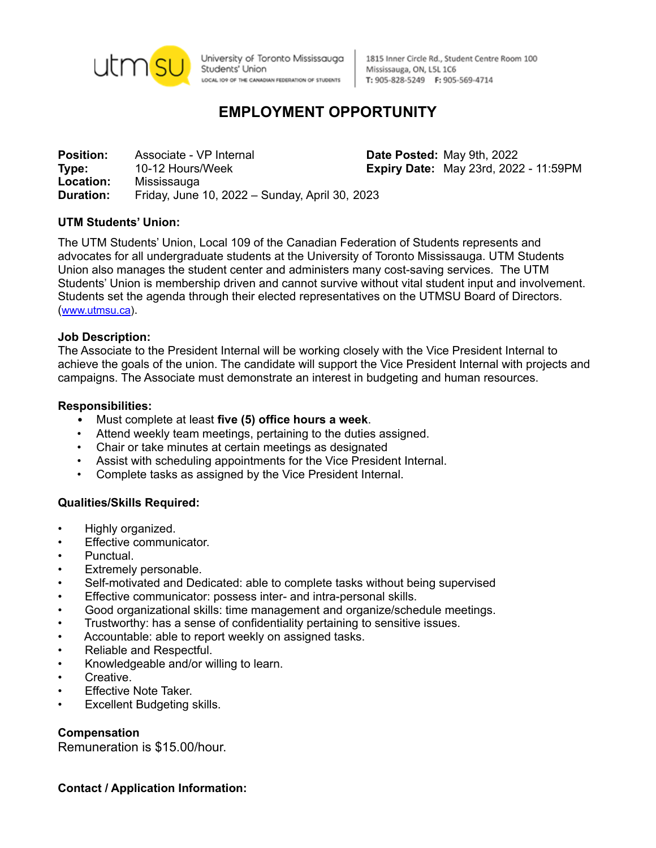

University of Toronto Mississauga Students' Union LOCAL IO9 OF THE CANADIAN FEDERATION OF STUDENTS

1815 Inner Circle Rd., Student Centre Room 100 Mississauga, ON, L5L 1C6 T: 905-828-5249 F: 905-569-4714

# **EMPLOYMENT OPPORTUNITY**

**Position:** Associate - VP Internal **Date Posted:** May 9th, 2022 **Type:** 10-12 Hours/Week **Expiry Date:** May 23rd, 2022 - 11:59PM **Location:** Mississauga **Duration:** Friday, June 10, 2022 – Sunday, April 30, 2023

## **UTM Students' Union:**

The UTM Students' Union, Local 109 of the Canadian Federation of Students represents and advocates for all undergraduate students at the University of Toronto Mississauga. UTM Students Union also manages the student center and administers many cost-saving services. The UTM Students' Union is membership driven and cannot survive without vital student input and involvement. Students set the agenda through their elected representatives on the UTMSU Board of Directors. ([www.utmsu.ca](http://www.utmsu.ca)).

#### **Job Description:**

The Associate to the President Internal will be working closely with the Vice President Internal to achieve the goals of the union. The candidate will support the Vice President Internal with projects and campaigns. The Associate must demonstrate an interest in budgeting and human resources.

#### **Responsibilities:**

- Must complete at least **five (5) office hours a week**.
- Attend weekly team meetings, pertaining to the duties assigned.
- Chair or take minutes at certain meetings as designated
- Assist with scheduling appointments for the Vice President Internal.
- Complete tasks as assigned by the Vice President Internal.

## **Qualities/Skills Required:**

- Highly organized.
- **Effective communicator.**
- Punctual.
- Extremely personable.
- Self-motivated and Dedicated: able to complete tasks without being supervised
- Effective communicator: possess inter- and intra-personal skills.
- Good organizational skills: time management and organize/schedule meetings.
- Trustworthy: has a sense of confidentiality pertaining to sensitive issues.
- Accountable: able to report weekly on assigned tasks.
- Reliable and Respectful.
- Knowledgeable and/or willing to learn.
- Creative.
- **Effective Note Taker.**
- **Excellent Budgeting skills.**

## **Compensation**

Remuneration is \$15.00/hour.

**Contact / Application Information:**